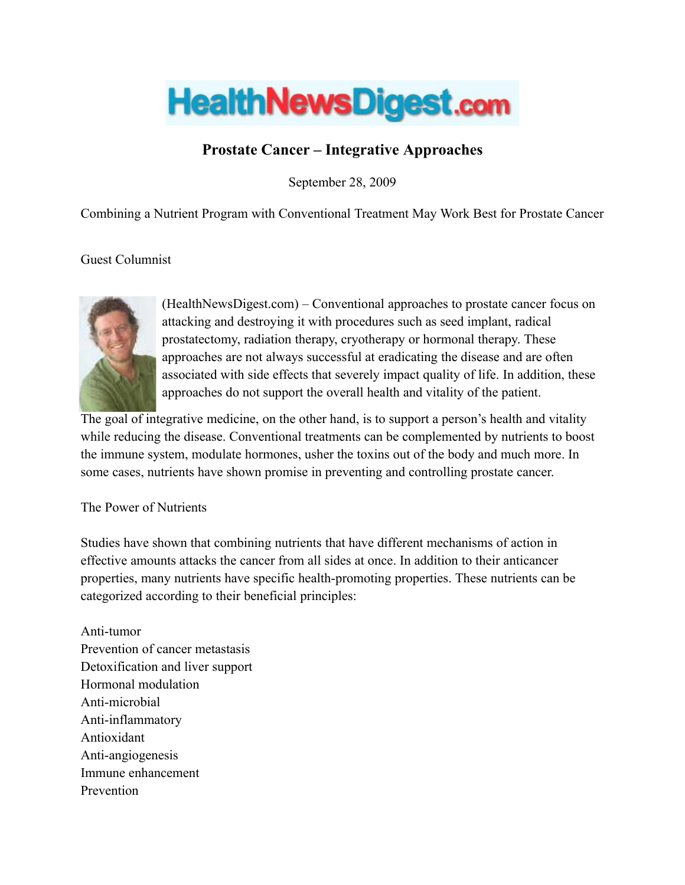

## Prostate Cancer – Integrative Approaches

September 28, 2009

Combining a Nutrient Program with Conventional Treatment May Work Best for Prostate Cancer

Guest Columnist



(HealthNewsDigest.com) – Conventional approaches to prostate cancer focus on attacking and destroying it with procedures such as seed implant, radical prostatectomy, radiation therapy, cryotherapy or hormonal therapy. These approaches are not always successful at eradicating the disease and are often associated with side effects that severely impact quality of life. In addition, these approaches do not support the overall health and vitality of the patient.

The goal of integrative medicine, on the other hand, is to support a person's health and vitality while reducing the disease. Conventional treatments can be complemented by nutrients to boost the immune system, modulate hormones, usher the toxins out of the body and much more. In some cases, nutrients have shown promise in preventing and controlling prostate cancer.

## The Power of Nutrients

Studies have shown that combining nutrients that have different mechanisms of action in effective amounts attacks the cancer from all sides at once. In addition to their anticancer properties, many nutrients have specific health-promoting properties. These nutrients can be categorized according to their beneficial principles:

Anti-tumor Prevention of cancer metastasis Detoxification and liver support Hormonal modulation Anti-microbial Anti-inflammatory Antioxidant Anti-angiogenesis Immune enhancement Prevention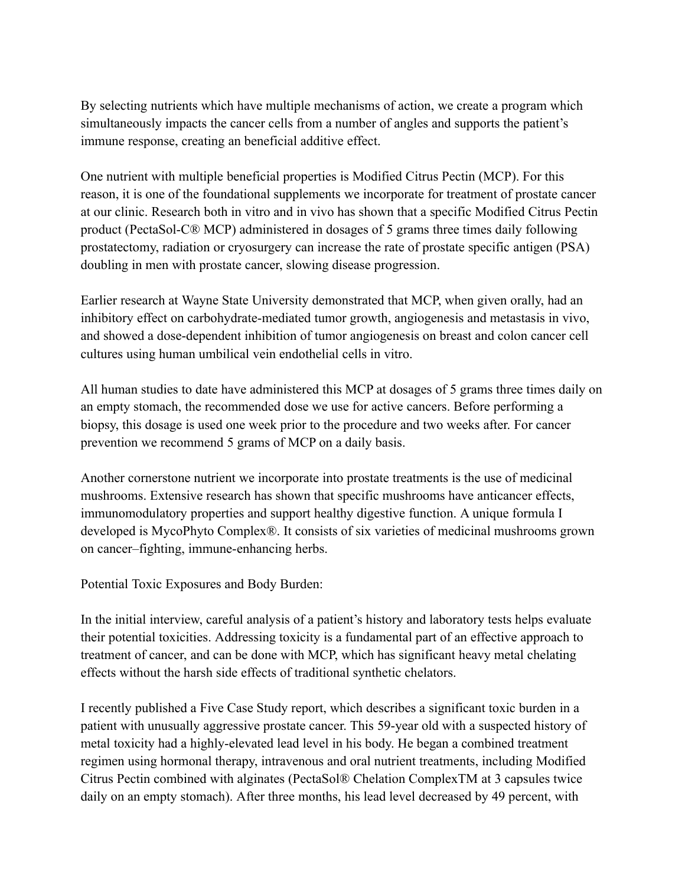By selecting nutrients which have multiple mechanisms of action, we create a program which simultaneously impacts the cancer cells from a number of angles and supports the patient's immune response, creating an beneficial additive effect.

One nutrient with multiple beneficial properties is Modified Citrus Pectin (MCP). For this reason, it is one of the foundational supplements we incorporate for treatment of prostate cancer at our clinic. Research both in vitro and in vivo has shown that a specific Modified Citrus Pectin product (PectaSol-C® MCP) administered in dosages of 5 grams three times daily following prostatectomy, radiation or cryosurgery can increase the rate of prostate specific antigen (PSA) doubling in men with prostate cancer, slowing disease progression.

Earlier research at Wayne State University demonstrated that MCP, when given orally, had an inhibitory effect on carbohydrate-mediated tumor growth, angiogenesis and metastasis in vivo, and showed a dose-dependent inhibition of tumor angiogenesis on breast and colon cancer cell cultures using human umbilical vein endothelial cells in vitro.

All human studies to date have administered this MCP at dosages of 5 grams three times daily on an empty stomach, the recommended dose we use for active cancers. Before performing a biopsy, this dosage is used one week prior to the procedure and two weeks after. For cancer prevention we recommend 5 grams of MCP on a daily basis.

Another cornerstone nutrient we incorporate into prostate treatments is the use of medicinal mushrooms. Extensive research has shown that specific mushrooms have anticancer effects, immunomodulatory properties and support healthy digestive function. A unique formula I developed is MycoPhyto Complex®. It consists of six varieties of medicinal mushrooms grown on cancer–fighting, immune-enhancing herbs.

Potential Toxic Exposures and Body Burden:

In the initial interview, careful analysis of a patient's history and laboratory tests helps evaluate their potential toxicities. Addressing toxicity is a fundamental part of an effective approach to treatment of cancer, and can be done with MCP, which has significant heavy metal chelating effects without the harsh side effects of traditional synthetic chelators.

I recently published a Five Case Study report, which describes a significant toxic burden in a patient with unusually aggressive prostate cancer. This 59-year old with a suspected history of metal toxicity had a highly-elevated lead level in his body. He began a combined treatment regimen using hormonal therapy, intravenous and oral nutrient treatments, including Modified Citrus Pectin combined with alginates (PectaSol® Chelation ComplexTM at 3 capsules twice daily on an empty stomach). After three months, his lead level decreased by 49 percent, with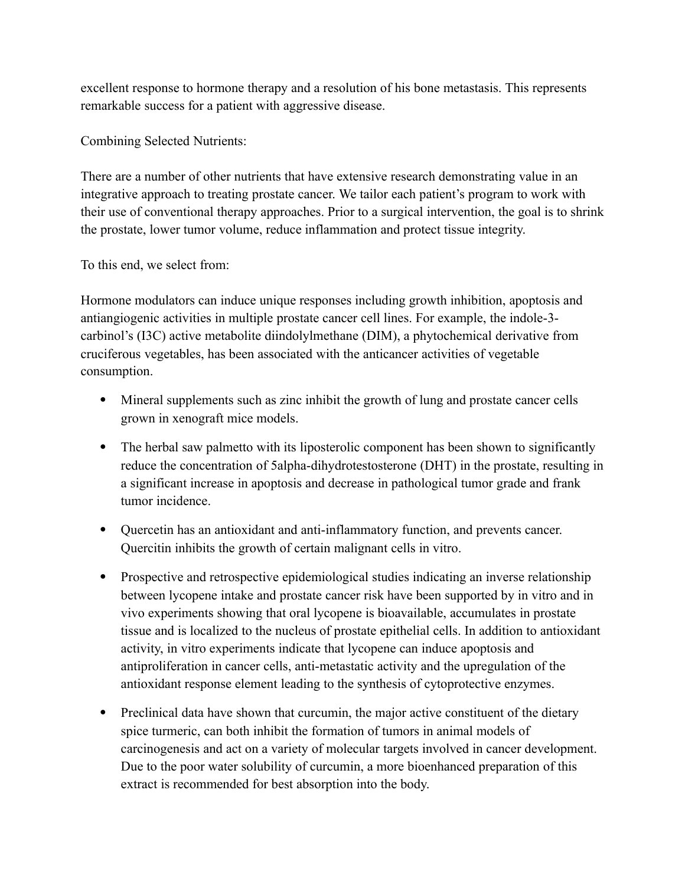excellent response to hormone therapy and a resolution of his bone metastasis. This represents remarkable success for a patient with aggressive disease.

Combining Selected Nutrients:

There are a number of other nutrients that have extensive research demonstrating value in an integrative approach to treating prostate cancer. We tailor each patient's program to work with their use of conventional therapy approaches. Prior to a surgical intervention, the goal is to shrink the prostate, lower tumor volume, reduce inflammation and protect tissue integrity.

To this end, we select from:

Hormone modulators can induce unique responses including growth inhibition, apoptosis and antiangiogenic activities in multiple prostate cancer cell lines. For example, the indole-3 carbinol's (I3C) active metabolite diindolylmethane (DIM), a phytochemical derivative from cruciferous vegetables, has been associated with the anticancer activities of vegetable consumption.

- Mineral supplements such as zinc inhibit the growth of lung and prostate cancer cells grown in xenograft mice models.
- The herbal saw palmetto with its liposterolic component has been shown to significantly reduce the concentration of 5alpha-dihydrotestosterone (DHT) in the prostate, resulting in a significant increase in apoptosis and decrease in pathological tumor grade and frank tumor incidence.
- Quercetin has an antioxidant and anti-inflammatory function, and prevents cancer. Quercitin inhibits the growth of certain malignant cells in vitro.
- Prospective and retrospective epidemiological studies indicating an inverse relationship between lycopene intake and prostate cancer risk have been supported by in vitro and in vivo experiments showing that oral lycopene is bioavailable, accumulates in prostate tissue and is localized to the nucleus of prostate epithelial cells. In addition to antioxidant activity, in vitro experiments indicate that lycopene can induce apoptosis and antiproliferation in cancer cells, anti-metastatic activity and the upregulation of the antioxidant response element leading to the synthesis of cytoprotective enzymes.
- Preclinical data have shown that curcumin, the major active constituent of the dietary spice turmeric, can both inhibit the formation of tumors in animal models of carcinogenesis and act on a variety of molecular targets involved in cancer development. Due to the poor water solubility of curcumin, a more bioenhanced preparation of this extract is recommended for best absorption into the body.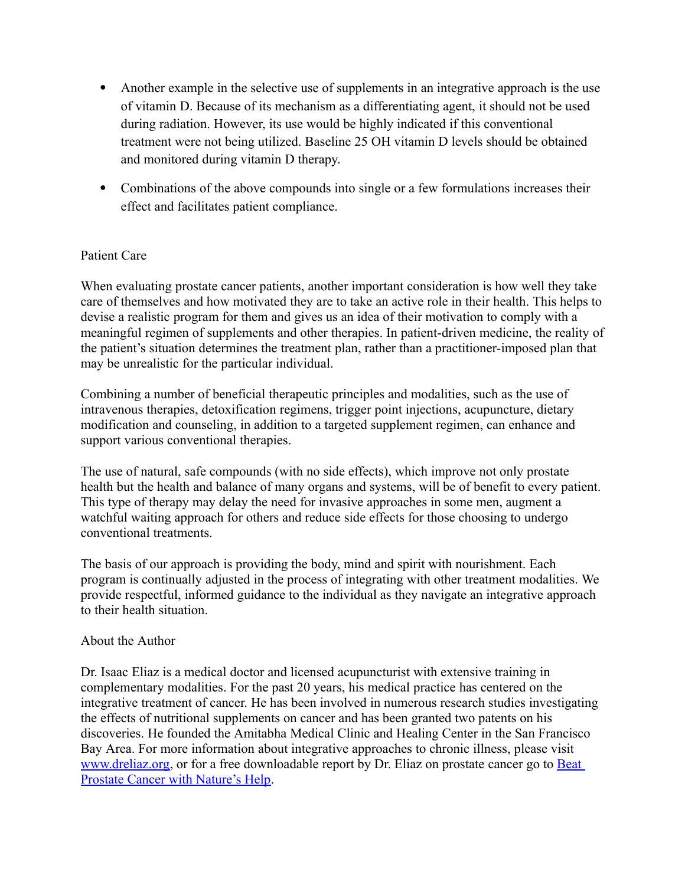- Another example in the selective use of supplements in an integrative approach is the use of vitamin D. Because of its mechanism as a differentiating agent, it should not be used during radiation. However, its use would be highly indicated if this conventional treatment were not being utilized. Baseline 25 OH vitamin D levels should be obtained and monitored during vitamin D therapy.
- Combinations of the above compounds into single or a few formulations increases their effect and facilitates patient compliance.

## Patient Care

When evaluating prostate cancer patients, another important consideration is how well they take care of themselves and how motivated they are to take an active role in their health. This helps to devise a realistic program for them and gives us an idea of their motivation to comply with a meaningful regimen of supplements and other therapies. In patient-driven medicine, the reality of the patient's situation determines the treatment plan, rather than a practitioner-imposed plan that may be unrealistic for the particular individual.

Combining a number of beneficial therapeutic principles and modalities, such as the use of intravenous therapies, detoxification regimens, trigger point injections, acupuncture, dietary modification and counseling, in addition to a targeted supplement regimen, can enhance and support various conventional therapies.

The use of natural, safe compounds (with no side effects), which improve not only prostate health but the health and balance of many organs and systems, will be of benefit to every patient. This type of therapy may delay the need for invasive approaches in some men, augment a watchful waiting approach for others and reduce side effects for those choosing to undergo conventional treatments.

The basis of our approach is providing the body, mind and spirit with nourishment. Each program is continually adjusted in the process of integrating with other treatment modalities. We provide respectful, informed guidance to the individual as they navigate an integrative approach to their health situation.

## About the Author

Dr. Isaac Eliaz is a medical doctor and licensed acupuncturist with extensive training in complementary modalities. For the past 20 years, his medical practice has centered on the integrative treatment of cancer. He has been involved in numerous research studies investigating the effects of nutritional supplements on cancer and has been granted two patents on his discoveries. He founded the Amitabha Medical Clinic and Healing Center in the San Francisco Bay Area. For more information about integrative approaches to chronic illness, please visit [www.dreliaz.org,](file:///__PROJECTS/__ANDREWCHEW_PROJECTS/LANDIS/FROM_DAVID/CONTENT_2009-9-28/www.dreliaz.org) or for a free downloadable report by Dr. Eliaz on prostate cancer go to [Beat](http://www.dreliaz.org/research/health_report_pages/prostate_cancer_report/) Prostate Cancer with [Nature's](http://www.dreliaz.org/research/health_report_pages/prostate_cancer_report/) Help.